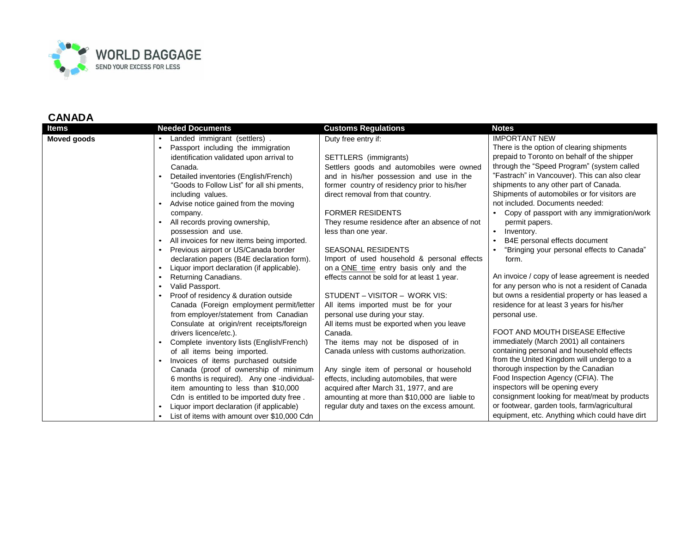

| Items       | <b>Needed Documents</b>                     | <b>Customs Regulations</b>                    | <b>Notes</b>                                    |
|-------------|---------------------------------------------|-----------------------------------------------|-------------------------------------------------|
| Moved goods | Landed immigrant (settlers).                | Duty free entry if:                           | <b>IMPORTANT NEW</b>                            |
|             | Passport including the immigration          |                                               | There is the option of clearing shipments       |
|             | identification validated upon arrival to    | SETTLERS (immigrants)                         | prepaid to Toronto on behalf of the shipper     |
|             | Canada.                                     | Settlers goods and automobiles were owned     | through the "Speed Program" (system called      |
|             | Detailed inventories (English/French)       | and in his/her possession and use in the      | "Fastrach" in Vancouver). This can also clear   |
|             | "Goods to Follow List" for all shi pments,  | former country of residency prior to his/her  | shipments to any other part of Canada.          |
|             | including values.                           | direct removal from that country.             | Shipments of automobiles or for visitors are    |
|             | Advise notice gained from the moving        |                                               | not included. Documents needed:                 |
|             | company.                                    | <b>FORMER RESIDENTS</b>                       | Copy of passport with any immigration/work      |
|             | All records proving ownership,              | They resume residence after an absence of not | permit papers.                                  |
|             | possession and use.                         | less than one year.                           | Inventory.                                      |
|             | All invoices for new items being imported.  |                                               | B4E personal effects document                   |
|             | Previous airport or US/Canada border        | <b>SEASONAL RESIDENTS</b>                     | "Bringing your personal effects to Canada"      |
|             | declaration papers (B4E declaration form).  | Import of used household & personal effects   | form.                                           |
|             | Liquor import declaration (if applicable).  | on a ONE time entry basis only and the        |                                                 |
|             | Returning Canadians.                        | effects cannot be sold for at least 1 year.   | An invoice / copy of lease agreement is needed  |
|             | Valid Passport.                             |                                               | for any person who is not a resident of Canada  |
|             | Proof of residency & duration outside       | STUDENT - VISITOR - WORK VIS:                 | but owns a residential property or has leased a |
|             | Canada (Foreign employment permit/letter    | All items imported must be for your           | residence for at least 3 years for his/her      |
|             | from employer/statement from Canadian       | personal use during your stay.                | personal use.                                   |
|             | Consulate at origin/rent receipts/foreign   | All items must be exported when you leave     |                                                 |
|             | drivers licence/etc.).                      | Canada.                                       | FOOT AND MOUTH DISEASE Effective                |
|             | Complete inventory lists (English/French)   | The items may not be disposed of in           | immediately (March 2001) all containers         |
|             | of all items being imported.                | Canada unless with customs authorization.     | containing personal and household effects       |
|             | Invoices of items purchased outside         |                                               | from the United Kingdom will undergo to a       |
|             | Canada (proof of ownership of minimum       | Any single item of personal or household      | thorough inspection by the Canadian             |
|             | 6 months is required). Any one -individual- | effects, including automobiles, that were     | Food Inspection Agency (CFIA). The              |
|             | item amounting to less than \$10,000        | acquired after March 31, 1977, and are        | inspectors will be opening every                |
|             | Cdn is entitled to be imported duty free.   | amounting at more than \$10,000 are liable to | consignment looking for meat/meat by products   |
|             | Liquor import declaration (if applicable)   | regular duty and taxes on the excess amount.  | or footwear, garden tools, farm/agricultural    |
|             | List of items with amount over \$10,000 Cdn |                                               | equipment, etc. Anything which could have dirt  |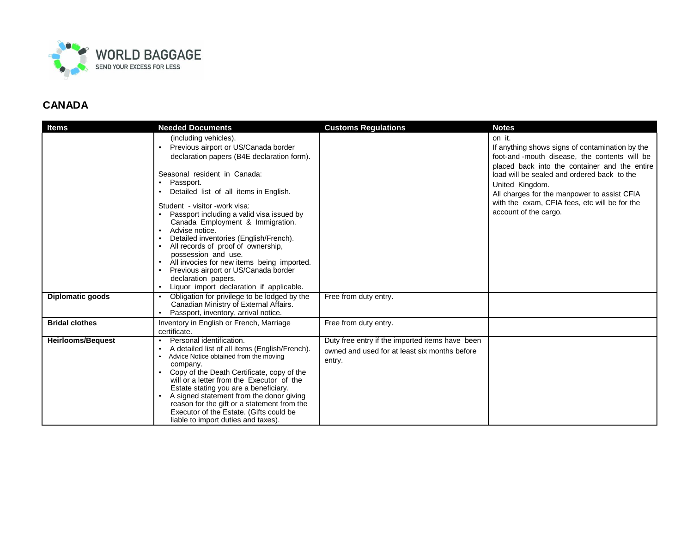

| <b>Items</b>             | <b>Needed Documents</b>                                                                                                                                                                                                                                                                                                                                                                                                                                                                                                                                                                                              | <b>Customs Regulations</b>                                                                                 | <b>Notes</b>                                                                                                                                                                                                                                                                                                                                          |
|--------------------------|----------------------------------------------------------------------------------------------------------------------------------------------------------------------------------------------------------------------------------------------------------------------------------------------------------------------------------------------------------------------------------------------------------------------------------------------------------------------------------------------------------------------------------------------------------------------------------------------------------------------|------------------------------------------------------------------------------------------------------------|-------------------------------------------------------------------------------------------------------------------------------------------------------------------------------------------------------------------------------------------------------------------------------------------------------------------------------------------------------|
|                          | (including vehicles).<br>Previous airport or US/Canada border<br>$\bullet$<br>declaration papers (B4E declaration form).<br>Seasonal resident in Canada:<br>Passport.<br>Detailed list of all items in English.<br>Student - visitor - work visa:<br>Passport including a valid visa issued by<br>Canada Employment & Immigration.<br>Advise notice.<br>Detailed inventories (English/French).<br>All records of proof of ownership,<br>possession and use.<br>All invocies for new items being imported.<br>Previous airport or US/Canada border<br>declaration papers.<br>Liquor import declaration if applicable. |                                                                                                            | on it.<br>If anything shows signs of contamination by the<br>foot-and-mouth disease, the contents will be<br>placed back into the container and the entire<br>load will be sealed and ordered back to the<br>United Kingdom.<br>All charges for the manpower to assist CFIA<br>with the exam, CFIA fees, etc will be for the<br>account of the cargo. |
| <b>Diplomatic goods</b>  | Obligation for privilege to be lodged by the<br>Canadian Ministry of External Affairs.<br>Passport, inventory, arrival notice.                                                                                                                                                                                                                                                                                                                                                                                                                                                                                       | Free from duty entry.                                                                                      |                                                                                                                                                                                                                                                                                                                                                       |
| <b>Bridal clothes</b>    | Inventory in English or French, Marriage<br>certificate.                                                                                                                                                                                                                                                                                                                                                                                                                                                                                                                                                             | Free from duty entry.                                                                                      |                                                                                                                                                                                                                                                                                                                                                       |
| <b>Heirlooms/Bequest</b> | Personal identification.<br>A detailed list of all items (English/French).<br>Advice Notice obtained from the moving<br>company.<br>Copy of the Death Certificate, copy of the<br>will or a letter from the Executor of the<br>Estate stating you are a beneficiary.<br>A signed statement from the donor giving<br>reason for the gift or a statement from the<br>Executor of the Estate. (Gifts could be<br>liable to import duties and taxes).                                                                                                                                                                    | Duty free entry if the imported items have been<br>owned and used for at least six months before<br>entry. |                                                                                                                                                                                                                                                                                                                                                       |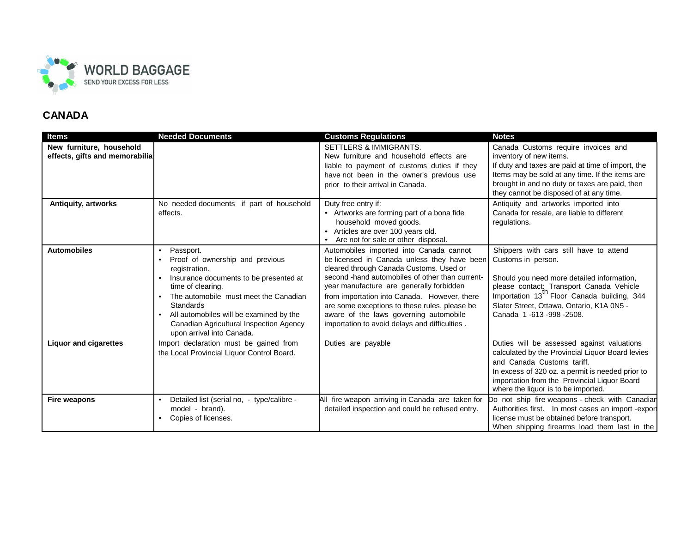

| <b>Items</b>                   | <b>Needed Documents</b>                                       | <b>Customs Regulations</b>                                                                          | <b>Notes</b>                                                                                         |
|--------------------------------|---------------------------------------------------------------|-----------------------------------------------------------------------------------------------------|------------------------------------------------------------------------------------------------------|
| New furniture, household       |                                                               | <b>SETTLERS &amp; IMMIGRANTS.</b>                                                                   | Canada Customs require invoices and                                                                  |
| effects, gifts and memorabilia |                                                               | New furniture and household effects are                                                             | inventory of new items.                                                                              |
|                                |                                                               | liable to payment of customs duties if they                                                         | If duty and taxes are paid at time of import, the                                                    |
|                                |                                                               | have not been in the owner's previous use                                                           | Items may be sold at any time. If the items are                                                      |
|                                |                                                               | prior to their arrival in Canada.                                                                   | brought in and no duty or taxes are paid, then                                                       |
|                                |                                                               |                                                                                                     | they cannot be disposed of at any time.                                                              |
| Antiquity, artworks            | No needed documents if part of household                      | Duty free entry if:                                                                                 | Antiquity and artworks imported into                                                                 |
|                                | effects.                                                      | • Artworks are forming part of a bona fide                                                          | Canada for resale, are liable to different                                                           |
|                                |                                                               | household moved goods.                                                                              | regulations.                                                                                         |
|                                |                                                               | Articles are over 100 years old.<br>Are not for sale or other disposal.                             |                                                                                                      |
| <b>Automobiles</b>             | Passport.<br>$\bullet$                                        | Automobiles imported into Canada cannot                                                             | Shippers with cars still have to attend                                                              |
|                                | Proof of ownership and previous                               | be licensed in Canada unless they have been                                                         | Customs in person.                                                                                   |
|                                | registration.                                                 | cleared through Canada Customs. Used or                                                             |                                                                                                      |
|                                | Insurance documents to be presented at                        | second -hand automobiles of other than current-                                                     | Should you need more detailed information,                                                           |
|                                | time of clearing.                                             | year manufacture are generally forbidden                                                            | please contact: Transport Canada Vehicle                                                             |
|                                | The automobile must meet the Canadian                         | from importation into Canada. However, there                                                        | Importation 13" Floor Canada building, 344                                                           |
|                                | <b>Standards</b>                                              | are some exceptions to these rules, please be                                                       | Slater Street, Ottawa, Ontario, K1A 0N5 -                                                            |
|                                | All automobiles will be examined by the                       | aware of the laws governing automobile                                                              | Canada 1 -613 -998 -2508.                                                                            |
|                                | Canadian Agricultural Inspection Agency                       | importation to avoid delays and difficulties.                                                       |                                                                                                      |
|                                | upon arrival into Canada.                                     |                                                                                                     |                                                                                                      |
| <b>Liquor and cigarettes</b>   | Import declaration must be gained from                        | Duties are payable                                                                                  | Duties will be assessed against valuations                                                           |
|                                | the Local Provincial Liquor Control Board.                    |                                                                                                     | calculated by the Provincial Liquor Board levies                                                     |
|                                |                                                               |                                                                                                     | and Canada Customs tariff.                                                                           |
|                                |                                                               |                                                                                                     | In excess of 320 oz. a permit is needed prior to                                                     |
|                                |                                                               |                                                                                                     | importation from the Provincial Liquor Board                                                         |
|                                |                                                               |                                                                                                     | where the liquor is to be imported.                                                                  |
| <b>Fire weapons</b>            | Detailed list (serial no, - type/calibre -<br>model - brand). | All fire weapon arriving in Canada are taken for<br>detailed inspection and could be refused entry. | Do not ship fire weapons - check with Canadian<br>Authorities first. In most cases an import -export |
|                                | Copies of licenses.                                           |                                                                                                     | license must be obtained before transport.                                                           |
|                                |                                                               |                                                                                                     | When shipping firearms load them last in the                                                         |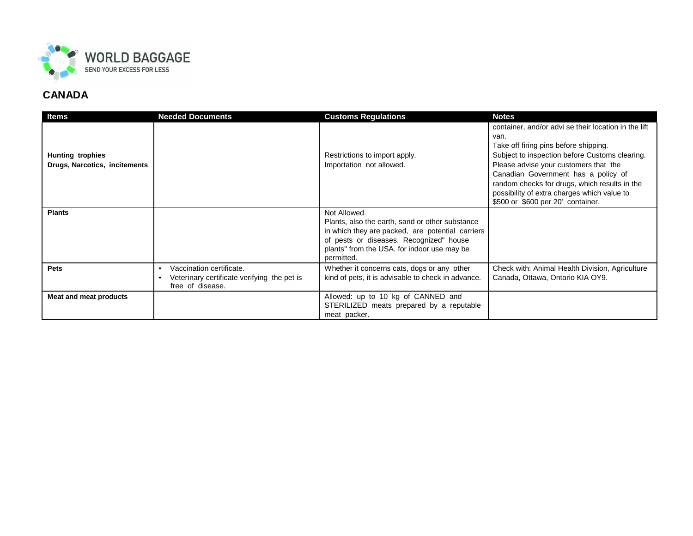

| ltems                                                    | <b>Needed Documents</b>                                                                                  | <b>Customs Regulations</b>                                                                                                                                                                                                  | <b>Notes</b>                                                                                                                                                                                                                                                                                                                                                                 |
|----------------------------------------------------------|----------------------------------------------------------------------------------------------------------|-----------------------------------------------------------------------------------------------------------------------------------------------------------------------------------------------------------------------------|------------------------------------------------------------------------------------------------------------------------------------------------------------------------------------------------------------------------------------------------------------------------------------------------------------------------------------------------------------------------------|
| <b>Hunting trophies</b><br>Drugs, Narcotics, incitements |                                                                                                          | Restrictions to import apply.<br>Importation not allowed.                                                                                                                                                                   | container, and/or advi se their location in the lift<br>van.<br>Take off firing pins before shipping.<br>Subject to inspection before Customs clearing.<br>Please advise your customers that the<br>Canadian Government has a policy of<br>random checks for drugs, which results in the<br>possibility of extra charges which value to<br>\$500 or \$600 per 20' container. |
| <b>Plants</b>                                            |                                                                                                          | Not Allowed.<br>Plants, also the earth, sand or other substance<br>in which they are packed, are potential carriers<br>of pests or diseases. Recognized" house<br>plants" from the USA. for indoor use may be<br>permitted. |                                                                                                                                                                                                                                                                                                                                                                              |
| Pets                                                     | Vaccination certificate.<br>$\bullet$<br>Veterinary certificate verifying the pet is<br>free of disease. | Whether it concerns cats, dogs or any other<br>kind of pets, it is advisable to check in advance.                                                                                                                           | Check with: Animal Health Division, Agriculture<br>Canada, Ottawa, Ontario KIA OY9.                                                                                                                                                                                                                                                                                          |
| Meat and meat products                                   |                                                                                                          | Allowed: up to 10 kg of CANNED and<br>STERILIZED meats prepared by a reputable<br>meat packer.                                                                                                                              |                                                                                                                                                                                                                                                                                                                                                                              |